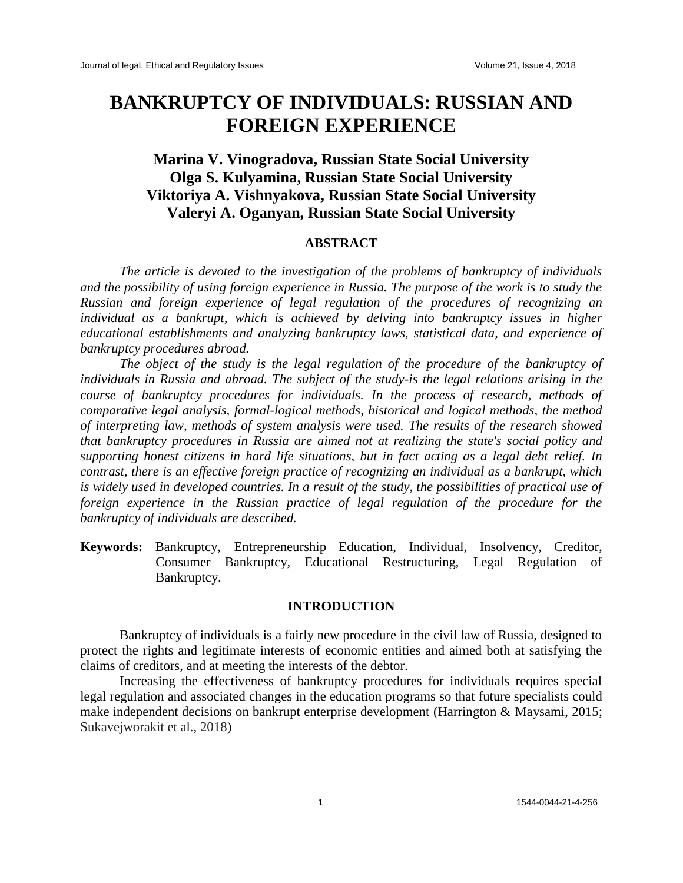# **BANKRUPTCY OF INDIVIDUALS: RUSSIAN AND FOREIGN EXPERIENCE**

## **Marina V. Vinogradova, Russian State Social University Olga S. Kulyamina, Russian State Social University Viktoriya A. Vishnyakova, Russian State Social University Valeryi A. Oganyan, Russian State Social University**

#### **ABSTRACT**

*The article is devoted to the investigation of the problems of bankruptcy of individuals and the possibility of using foreign experience in Russia. The purpose of the work is to study the Russian and foreign experience of legal regulation of the procedures of recognizing an individual as a bankrupt, which is achieved by delving into bankruptcy issues in higher educational establishments and analyzing bankruptcy laws, statistical data, and experience of bankruptcy procedures abroad.*

*The object of the study is the legal regulation of the procedure of the bankruptcy of individuals in Russia and abroad. The subject of the study-is the legal relations arising in the course of bankruptcy procedures for individuals. In the process of research, methods of comparative legal analysis, formal-logical methods, historical and logical methods, the method of interpreting law, methods of system analysis were used. The results of the research showed that bankruptcy procedures in Russia are aimed not at realizing the state's social policy and supporting honest citizens in hard life situations, but in fact acting as a legal debt relief. In contrast, there is an effective foreign practice of recognizing an individual as a bankrupt, which*  is widely used in developed countries. In a result of the study, the possibilities of practical use of *foreign experience in the Russian practice of legal regulation of the procedure for the bankruptcy of individuals are described.*

**Keywords:** Bankruptcy, Entrepreneurship Education, Individual, Insolvency, Creditor, Consumer Bankruptcy, Educational Restructuring, Legal Regulation of Bankruptcy.

#### **INTRODUCTION**

Bankruptcy of individuals is a fairly new procedure in the civil law of Russia, designed to protect the rights and legitimate interests of economic entities and aimed both at satisfying the claims of creditors, and at meeting the interests of the debtor.

Increasing the effectiveness of bankruptcy procedures for individuals requires special legal regulation and associated changes in the education programs so that future specialists could make independent decisions on bankrupt enterprise development (Harrington & Maysami, 2015; Sukavejworakit et al., 2018)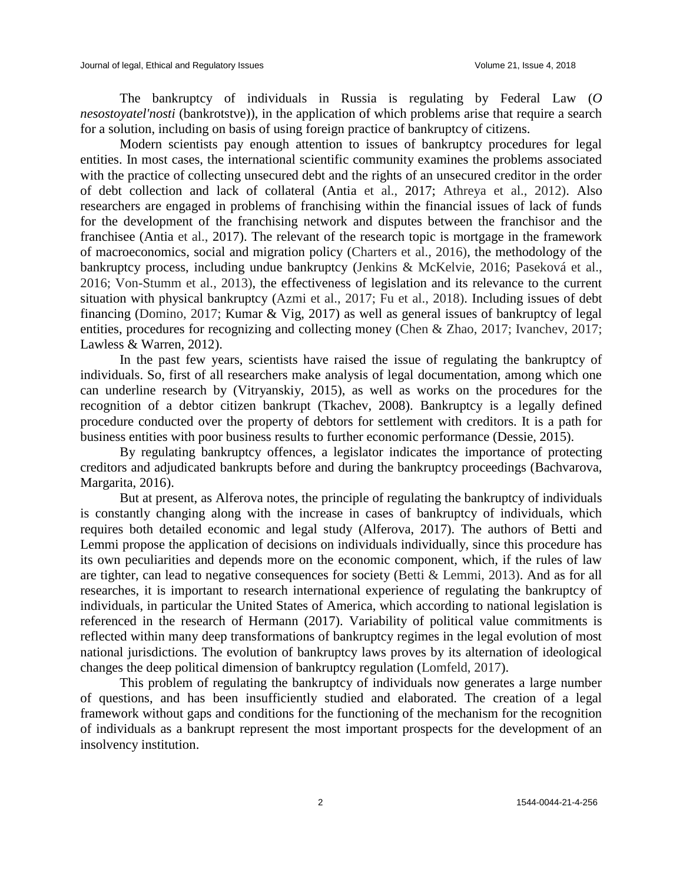The bankruptcy of individuals in Russia is regulating by Federal Law (*O nesostoyatel'nosti* (bankrotstve)), in the application of which problems arise that require a search for a solution, including on basis of using foreign practice of bankruptcy of citizens.

Modern scientists pay enough attention to issues of bankruptcy procedures for legal entities. In most cases, the international scientific community examines the problems associated with the practice of collecting unsecured debt and the rights of an unsecured creditor in the order of debt collection and lack of collateral (Antia et al., 2017; Athreya et al., 2012). Also researchers are engaged in problems of franchising within the financial issues of lack of funds for the development of the franchising network and disputes between the franchisor and the franchisee (Antia et al., 2017). The relevant of the research topic is mortgage in the framework of macroeconomics, social and migration policy (Charters et al., 2016), the methodology of the bankruptcy process, including undue bankruptcy (Jenkins & McKelvie, 2016; Paseková et al., 2016; Von-Stumm et al., 2013), the effectiveness of legislation and its relevance to the current situation with physical bankruptcy (Azmi et al., 2017; Fu et al., 2018). Including issues of debt financing (Domino, 2017; Kumar & Vig, 2017) as well as general issues of bankruptcy of legal entities, procedures for recognizing and collecting money (Chen & Zhao, 2017; Ivanchev, 2017; Lawless & Warren, 2012).

In the past few years, scientists have raised the issue of regulating the bankruptcy of individuals. So, first of all researchers make analysis of legal documentation, among which one can underline research by (Vitryanskiy, 2015), as well as works on the procedures for the recognition of a debtor citizen bankrupt (Tkachev, 2008). Bankruptcy is a legally defined procedure conducted over the property of debtors for settlement with creditors. It is a path for business entities with poor business results to further economic performance (Dessie, 2015).

By regulating bankruptcy offences, a legislator indicates the importance of protecting creditors and adjudicated bankrupts before and during the bankruptcy proceedings (Bachvarova, Margarita, 2016).

But at present, as Alferova notes, the principle of regulating the bankruptcy of individuals is constantly changing along with the increase in cases of bankruptcy of individuals, which requires both detailed economic and legal study (Alferova, 2017). The authors of Betti and Lemmi propose the application of decisions on individuals individually, since this procedure has its own peculiarities and depends more on the economic component, which, if the rules of law are tighter, can lead to negative consequences for society (Betti & Lemmi, 2013). And as for all researches, it is important to research international experience of regulating the bankruptcy of individuals, in particular the United States of America, which according to national legislation is referenced in the research of Hermann (2017). Variability of political value commitments is reflected within many deep transformations of bankruptcy regimes in the legal evolution of most national jurisdictions. The evolution of bankruptcy laws proves by its alternation of ideological changes the deep political dimension of bankruptcy regulation (Lomfeld, 2017).

This problem of regulating the bankruptcy of individuals now generates a large number of questions, and has been insufficiently studied and elaborated. The creation of a legal framework without gaps and conditions for the functioning of the mechanism for the recognition of individuals as a bankrupt represent the most important prospects for the development of an insolvency institution.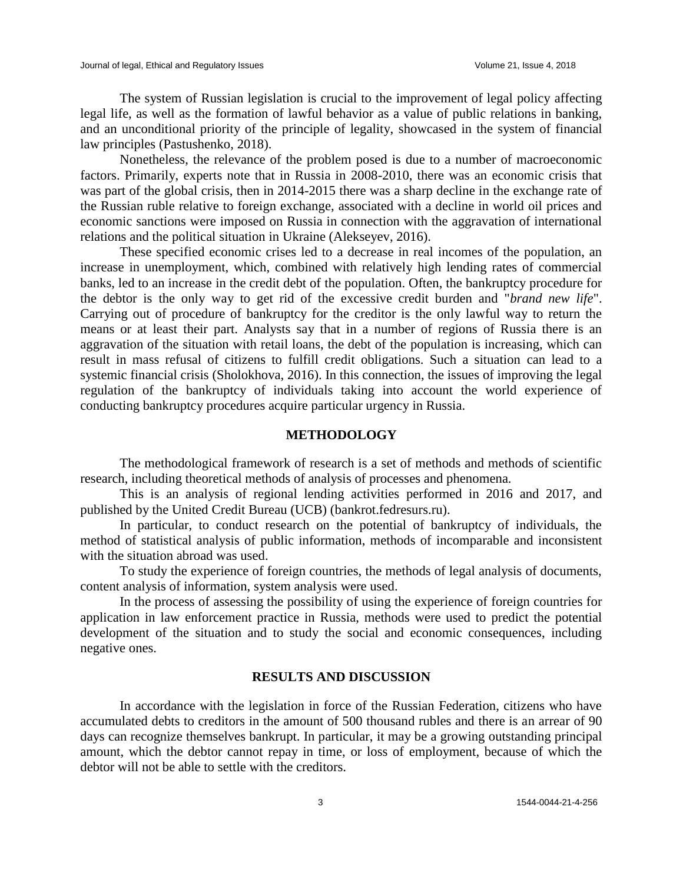The system of Russian legislation is crucial to the improvement of legal policy affecting legal life, as well as the formation of lawful behavior as a value of public relations in banking, and an unconditional priority of the principle of legality, showcased in the system of financial law principles (Pastushenko, 2018).

Nonetheless, the relevance of the problem posed is due to a number of macroeconomic factors. Primarily, experts note that in Russia in 2008-2010, there was an economic crisis that was part of the global crisis, then in 2014-2015 there was a sharp decline in the exchange rate of the Russian ruble relative to foreign exchange, associated with a decline in world oil prices and economic sanctions were imposed on Russia in connection with the aggravation of international relations and the political situation in Ukraine (Alekseyev, 2016).

These specified economic crises led to a decrease in real incomes of the population, an increase in unemployment, which, combined with relatively high lending rates of commercial banks, led to an increase in the credit debt of the population. Often, the bankruptcy procedure for the debtor is the only way to get rid of the excessive credit burden and "*brand new life*". Carrying out of procedure of bankruptcy for the creditor is the only lawful way to return the means or at least their part. Analysts say that in a number of regions of Russia there is an aggravation of the situation with retail loans, the debt of the population is increasing, which can result in mass refusal of citizens to fulfill credit obligations. Such a situation can lead to a systemic financial crisis (Sholokhova, 2016). In this connection, the issues of improving the legal regulation of the bankruptcy of individuals taking into account the world experience of conducting bankruptcy procedures acquire particular urgency in Russia.

#### **METHODOLOGY**

The methodological framework of research is a set of methods and methods of scientific research, including theoretical methods of analysis of processes and phenomena.

This is an analysis of regional lending activities performed in 2016 and 2017, and published by the United Credit Bureau (UCB) (bankrot.fedresurs.ru).

In particular, to conduct research on the potential of bankruptcy of individuals, the method of statistical analysis of public information, methods of incomparable and inconsistent with the situation abroad was used.

To study the experience of foreign countries, the methods of legal analysis of documents, content analysis of information, system analysis were used.

In the process of assessing the possibility of using the experience of foreign countries for application in law enforcement practice in Russia, methods were used to predict the potential development of the situation and to study the social and economic consequences, including negative ones.

#### **RESULTS AND DISCUSSION**

In accordance with the legislation in force of the Russian Federation, citizens who have accumulated debts to creditors in the amount of 500 thousand rubles and there is an arrear of 90 days can recognize themselves bankrupt. In particular, it may be a growing outstanding principal amount, which the debtor cannot repay in time, or loss of employment, because of which the debtor will not be able to settle with the creditors.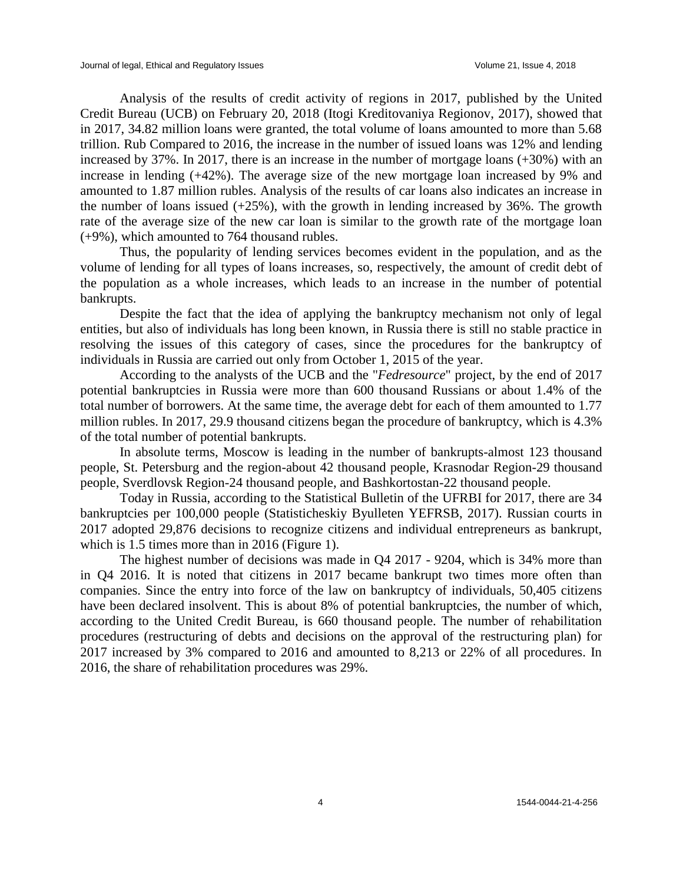Analysis of the results of credit activity of regions in 2017, published by the United Credit Bureau (UCB) on February 20, 2018 (Itogi Kreditovaniya Regionov, 2017), showed that in 2017, 34.82 million loans were granted, the total volume of loans amounted to more than 5.68 trillion. Rub Compared to 2016, the increase in the number of issued loans was 12% and lending increased by 37%. In 2017, there is an increase in the number of mortgage loans (+30%) with an increase in lending (+42%). The average size of the new mortgage loan increased by 9% and amounted to 1.87 million rubles. Analysis of the results of car loans also indicates an increase in the number of loans issued  $(+25%)$ , with the growth in lending increased by 36%. The growth rate of the average size of the new car loan is similar to the growth rate of the mortgage loan (+9%), which amounted to 764 thousand rubles.

Thus, the popularity of lending services becomes evident in the population, and as the volume of lending for all types of loans increases, so, respectively, the amount of credit debt of the population as a whole increases, which leads to an increase in the number of potential bankrupts.

Despite the fact that the idea of applying the bankruptcy mechanism not only of legal entities, but also of individuals has long been known, in Russia there is still no stable practice in resolving the issues of this category of cases, since the procedures for the bankruptcy of individuals in Russia are carried out only from October 1, 2015 of the year.

According to the analysts of the UCB and the "*Fedresource*" project, by the end of 2017 potential bankruptcies in Russia were more than 600 thousand Russians or about 1.4% of the total number of borrowers. At the same time, the average debt for each of them amounted to 1.77 million rubles. In 2017, 29.9 thousand citizens began the procedure of bankruptcy, which is 4.3% of the total number of potential bankrupts.

In absolute terms, Moscow is leading in the number of bankrupts-almost 123 thousand people, St. Petersburg and the region-about 42 thousand people, Krasnodar Region-29 thousand people, Sverdlovsk Region-24 thousand people, and Bashkortostan-22 thousand people.

Today in Russia, according to the Statistical Bulletin of the UFRBI for 2017, there are 34 bankruptcies per 100,000 people (Statisticheskiy Byulleten YEFRSB, 2017). Russian courts in 2017 adopted 29,876 decisions to recognize citizens and individual entrepreneurs as bankrupt, which is 1.5 times more than in 2016 (Figure 1).

The highest number of decisions was made in Q4 2017 - 9204, which is 34% more than in Q4 2016. It is noted that citizens in 2017 became bankrupt two times more often than companies. Since the entry into force of the law on bankruptcy of individuals, 50,405 citizens have been declared insolvent. This is about 8% of potential bankruptcies, the number of which, according to the United Credit Bureau, is 660 thousand people. The number of rehabilitation procedures (restructuring of debts and decisions on the approval of the restructuring plan) for 2017 increased by 3% compared to 2016 and amounted to 8,213 or 22% of all procedures. In 2016, the share of rehabilitation procedures was 29%.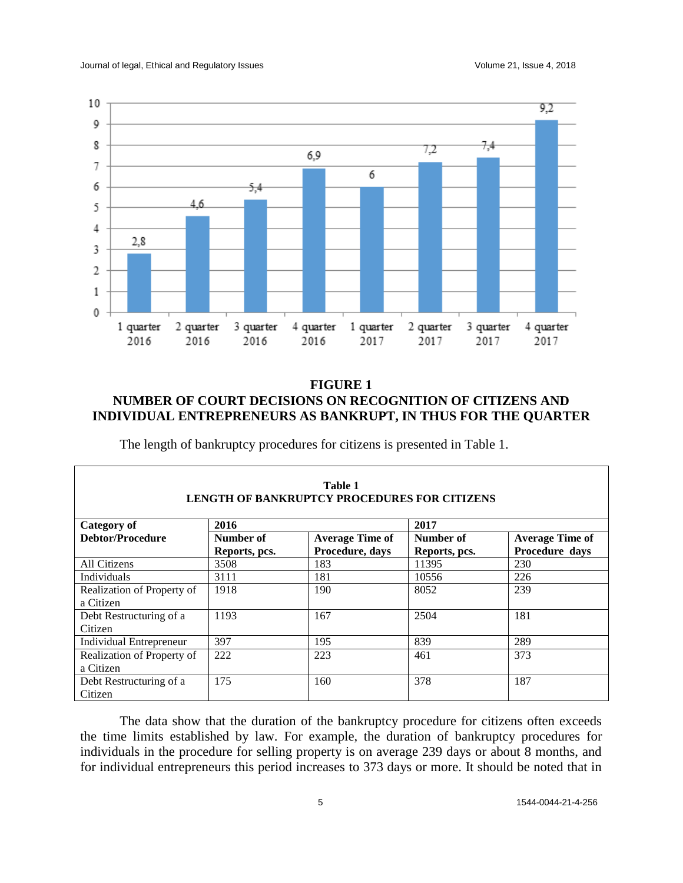

### **FIGURE 1 NUMBER OF COURT DECISIONS ON RECOGNITION OF CITIZENS AND INDIVIDUAL ENTREPRENEURS AS BANKRUPT, IN THUS FOR THE QUARTER**

The length of bankruptcy procedures for citizens is presented in Table 1.

| Table 1<br><b>LENGTH OF BANKRUPTCY PROCEDURES FOR CITIZENS</b> |                            |                                           |                            |                                          |
|----------------------------------------------------------------|----------------------------|-------------------------------------------|----------------------------|------------------------------------------|
| Category of                                                    | 2016                       |                                           | 2017                       |                                          |
| Debtor/Procedure                                               | Number of<br>Reports, pcs. | <b>Average Time of</b><br>Procedure, days | Number of<br>Reports, pcs. | <b>Average Time of</b><br>Procedure days |
| All Citizens                                                   | 3508                       | 183                                       | 11395                      | 230                                      |
| <b>Individuals</b>                                             | 3111                       | 181                                       | 10556                      | 226                                      |
| Realization of Property of<br>a Citizen                        | 1918                       | 190                                       | 8052                       | 239                                      |
| Debt Restructuring of a<br>Citizen                             | 1193                       | 167                                       | 2504                       | 181                                      |
| <b>Individual Entrepreneur</b>                                 | 397                        | 195                                       | 839                        | 289                                      |
| Realization of Property of<br>a Citizen                        | 222                        | 223                                       | 461                        | 373                                      |
| Debt Restructuring of a<br>Citizen                             | 175                        | 160                                       | 378                        | 187                                      |

The data show that the duration of the bankruptcy procedure for citizens often exceeds the time limits established by law. For example, the duration of bankruptcy procedures for individuals in the procedure for selling property is on average 239 days or about 8 months, and for individual entrepreneurs this period increases to 373 days or more. It should be noted that in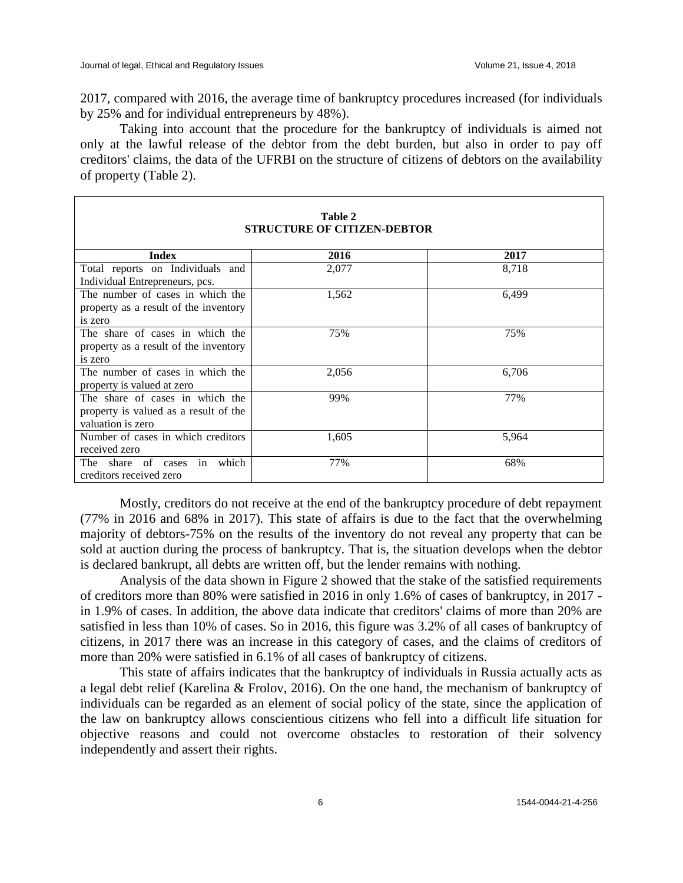2017, compared with 2016, the average time of bankruptcy procedures increased (for individuals by 25% and for individual entrepreneurs by 48%).

Taking into account that the procedure for the bankruptcy of individuals is aimed not only at the lawful release of the debtor from the debt burden, but also in order to pay off creditors' claims, the data of the UFRBI on the structure of citizens of debtors on the availability of property (Table 2).

| Table 2<br><b>STRUCTURE OF CITIZEN-DEBTOR</b> |       |       |  |  |
|-----------------------------------------------|-------|-------|--|--|
| <b>Index</b>                                  | 2016  | 2017  |  |  |
| Total reports on Individuals and              | 2,077 | 8,718 |  |  |
| Individual Entrepreneurs, pcs.                |       |       |  |  |
| The number of cases in which the              | 1,562 | 6,499 |  |  |
| property as a result of the inventory         |       |       |  |  |
| is zero                                       |       |       |  |  |
| The share of cases in which the               | 75%   | 75%   |  |  |
| property as a result of the inventory         |       |       |  |  |
| is zero                                       |       |       |  |  |
| The number of cases in which the              | 2,056 | 6,706 |  |  |
| property is valued at zero                    |       |       |  |  |
| The share of cases in which the               | 99%   | 77%   |  |  |
| property is valued as a result of the         |       |       |  |  |
| valuation is zero                             |       |       |  |  |
| Number of cases in which creditors            | 1,605 | 5,964 |  |  |
| received zero                                 |       |       |  |  |
| in<br>which<br>The share of cases             | 77%   | 68%   |  |  |
| creditors received zero                       |       |       |  |  |

Mostly, creditors do not receive at the end of the bankruptcy procedure of debt repayment (77% in 2016 and 68% in 2017). This state of affairs is due to the fact that the overwhelming majority of debtors-75% on the results of the inventory do not reveal any property that can be sold at auction during the process of bankruptcy. That is, the situation develops when the debtor is declared bankrupt, all debts are written off, but the lender remains with nothing.

Analysis of the data shown in Figure 2 showed that the stake of the satisfied requirements of creditors more than 80% were satisfied in 2016 in only 1.6% of cases of bankruptcy, in 2017 in 1.9% of cases. In addition, the above data indicate that creditors' claims of more than 20% are satisfied in less than 10% of cases. So in 2016, this figure was 3.2% of all cases of bankruptcy of citizens, in 2017 there was an increase in this category of cases, and the claims of creditors of more than 20% were satisfied in 6.1% of all cases of bankruptcy of citizens.

This state of affairs indicates that the bankruptcy of individuals in Russia actually acts as a legal debt relief (Karelina & Frolov, 2016). On the one hand, the mechanism of bankruptcy of individuals can be regarded as an element of social policy of the state, since the application of the law on bankruptcy allows conscientious citizens who fell into a difficult life situation for objective reasons and could not overcome obstacles to restoration of their solvency independently and assert their rights.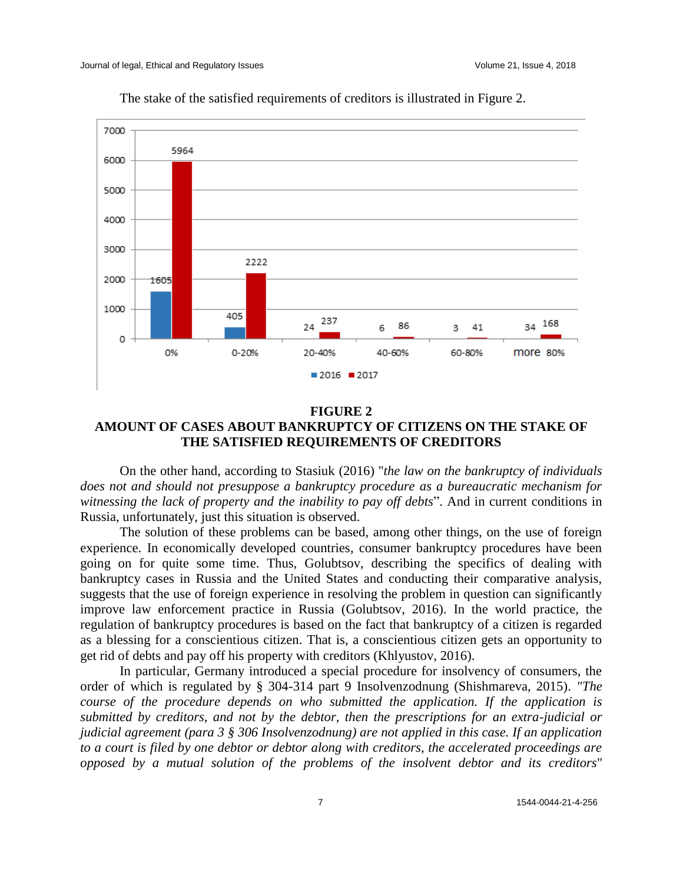

The stake of the satisfied requirements of creditors is illustrated in Figure 2.

#### **FIGURE 2 AMOUNT OF CASES ABOUT BANKRUPTCY OF CITIZENS ON THE STAKE OF THE SATISFIED REQUIREMENTS OF CREDITORS**

On the other hand, according to Stasiuk (2016) "*the law on the bankruptcy of individuals does not and should not presuppose a bankruptcy procedure as a bureaucratic mechanism for witnessing the lack of property and the inability to pay off debts*". And in current conditions in Russia, unfortunately, just this situation is observed.

The solution of these problems can be based, among other things, on the use of foreign experience. In economically developed countries, consumer bankruptcy procedures have been going on for quite some time. Thus, Golubtsov, describing the specifics of dealing with bankruptcy cases in Russia and the United States and conducting their comparative analysis, suggests that the use of foreign experience in resolving the problem in question can significantly improve law enforcement practice in Russia (Golubtsov, 2016). In the world practice, the regulation of bankruptcy procedures is based on the fact that bankruptcy of a citizen is regarded as a blessing for a conscientious citizen. That is, a conscientious citizen gets an opportunity to get rid of debts and pay off his property with creditors (Khlyustov, 2016).

In particular, Germany introduced a special procedure for insolvency of consumers, the order of which is regulated by § 304-314 part 9 Insolvenzodnung (Shishmareva, 2015). *"The course of the procedure depends on who submitted the application. If the application is submitted by creditors, and not by the debtor, then the prescriptions for an extra-judicial or judicial agreement (para 3 § 306 Insolvenzodnung) are not applied in this case. If an application to a court is filed by one debtor or debtor along with creditors, the accelerated proceedings are opposed by a mutual solution of the problems of the insolvent debtor and its creditors*"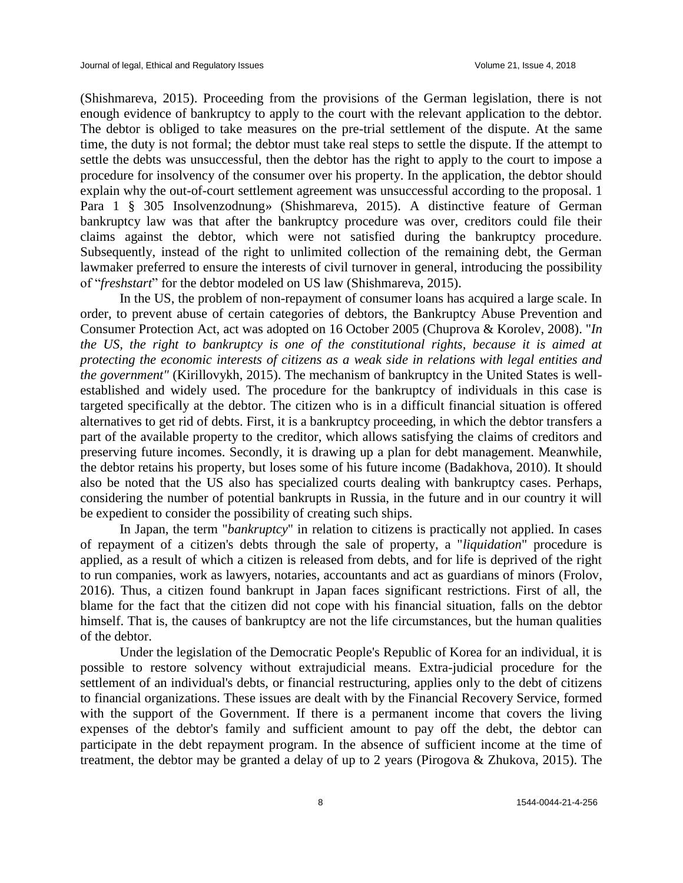(Shishmareva, 2015). Proceeding from the provisions of the German legislation, there is not enough evidence of bankruptcy to apply to the court with the relevant application to the debtor. The debtor is obliged to take measures on the pre-trial settlement of the dispute. At the same time, the duty is not formal; the debtor must take real steps to settle the dispute. If the attempt to settle the debts was unsuccessful, then the debtor has the right to apply to the court to impose a procedure for insolvency of the consumer over his property. In the application, the debtor should explain why the out-of-court settlement agreement was unsuccessful according to the proposal. 1 Para 1 § 305 Insolvenzodnung» (Shishmareva, 2015). A distinctive feature of German bankruptcy law was that after the bankruptcy procedure was over, creditors could file their claims against the debtor, which were not satisfied during the bankruptcy procedure. Subsequently, instead of the right to unlimited collection of the remaining debt, the German lawmaker preferred to ensure the interests of civil turnover in general, introducing the possibility of "*freshstart*" for the debtor modeled on US law (Shishmareva, 2015).

In the US, the problem of non-repayment of consumer loans has acquired a large scale. In order, to prevent abuse of certain categories of debtors, the Bankruptcy Abuse Prevention and Consumer Protection Act, act was adopted on 16 October 2005 (Chuprova & Korolev, 2008). "*In the US, the right to bankruptcy is one of the constitutional rights, because it is aimed at protecting the economic interests of citizens as a weak side in relations with legal entities and the government"* (Kirillovykh, 2015). The mechanism of bankruptcy in the United States is wellestablished and widely used. The procedure for the bankruptcy of individuals in this case is targeted specifically at the debtor. The citizen who is in a difficult financial situation is offered alternatives to get rid of debts. First, it is a bankruptcy proceeding, in which the debtor transfers a part of the available property to the creditor, which allows satisfying the claims of creditors and preserving future incomes. Secondly, it is drawing up a plan for debt management. Meanwhile, the debtor retains his property, but loses some of his future income (Badakhova, 2010). It should also be noted that the US also has specialized courts dealing with bankruptcy cases. Perhaps, considering the number of potential bankrupts in Russia, in the future and in our country it will be expedient to consider the possibility of creating such ships.

In Japan, the term "*bankruptcy*" in relation to citizens is practically not applied. In cases of repayment of a citizen's debts through the sale of property, a "*liquidation*" procedure is applied, as a result of which a citizen is released from debts, and for life is deprived of the right to run companies, work as lawyers, notaries, accountants and act as guardians of minors (Frolov, 2016). Thus, a citizen found bankrupt in Japan faces significant restrictions. First of all, the blame for the fact that the citizen did not cope with his financial situation, falls on the debtor himself. That is, the causes of bankruptcy are not the life circumstances, but the human qualities of the debtor.

Under the legislation of the Democratic People's Republic of Korea for an individual, it is possible to restore solvency without extrajudicial means. Extra-judicial procedure for the settlement of an individual's debts, or financial restructuring, applies only to the debt of citizens to financial organizations. These issues are dealt with by the Financial Recovery Service, formed with the support of the Government. If there is a permanent income that covers the living expenses of the debtor's family and sufficient amount to pay off the debt, the debtor can participate in the debt repayment program. In the absence of sufficient income at the time of treatment, the debtor may be granted a delay of up to 2 years (Pirogova & Zhukova, 2015). The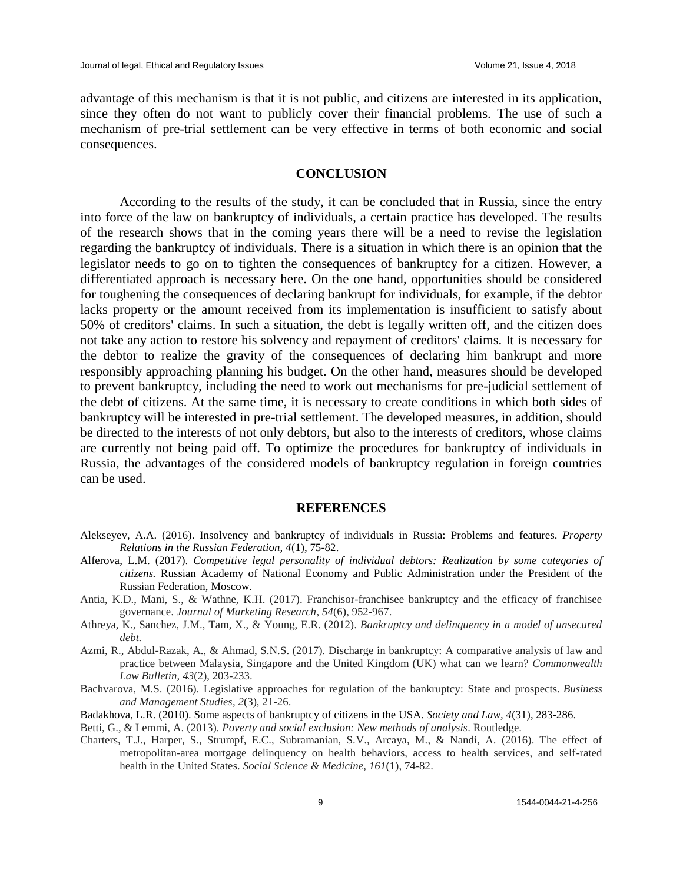advantage of this mechanism is that it is not public, and citizens are interested in its application, since they often do not want to publicly cover their financial problems. The use of such a mechanism of pre-trial settlement can be very effective in terms of both economic and social consequences.

#### **CONCLUSION**

According to the results of the study, it can be concluded that in Russia, since the entry into force of the law on bankruptcy of individuals, a certain practice has developed. The results of the research shows that in the coming years there will be a need to revise the legislation regarding the bankruptcy of individuals. There is a situation in which there is an opinion that the legislator needs to go on to tighten the consequences of bankruptcy for a citizen. However, a differentiated approach is necessary here. On the one hand, opportunities should be considered for toughening the consequences of declaring bankrupt for individuals, for example, if the debtor lacks property or the amount received from its implementation is insufficient to satisfy about 50% of creditors' claims. In such a situation, the debt is legally written off, and the citizen does not take any action to restore his solvency and repayment of creditors' claims. It is necessary for the debtor to realize the gravity of the consequences of declaring him bankrupt and more responsibly approaching planning his budget. On the other hand, measures should be developed to prevent bankruptcy, including the need to work out mechanisms for pre-judicial settlement of the debt of citizens. At the same time, it is necessary to create conditions in which both sides of bankruptcy will be interested in pre-trial settlement. The developed measures, in addition, should be directed to the interests of not only debtors, but also to the interests of creditors, whose claims are currently not being paid off. To optimize the procedures for bankruptcy of individuals in Russia, the advantages of the considered models of bankruptcy regulation in foreign countries can be used.

#### **REFERENCES**

- Alekseyev, A.A. (2016). Insolvency and bankruptcy of individuals in Russia: Problems and features. *Property Relations in the Russian Federation, 4*(1), 75-82.
- Alferova, L.M. (2017). *Competitive legal personality of individual debtors: Realization by some categories of citizens.* Russian Academy of National Economy and Public Administration under the President of the Russian Federation, Moscow.
- Antia, K.D., Mani, S., & Wathne, K.H. (2017). Franchisor-franchisee bankruptcy and the efficacy of franchisee governance. *Journal of Marketing Research, 54*(6), 952-967.
- Athreya, K., Sanchez, J.M., Tam, X., & Young, E.R. (2012). *Bankruptcy and delinquency in a model of unsecured debt.*
- Azmi, R., Abdul-Razak, A., & Ahmad, S.N.S. (2017). Discharge in bankruptcy: A comparative analysis of law and practice between Malaysia, Singapore and the United Kingdom (UK) what can we learn? *Commonwealth Law Bulletin, 43*(2), 203-233.
- Bachvarova, M.S. (2016). Legislative approaches for regulation of the bankruptcy: State and prospects. *Business and Management Studies, 2*(3), 21-26.
- Badakhova, L.R. (2010). Some aspects of bankruptcy of citizens in the USA. *Society and Law, 4*(31), 283-286.
- Betti, G., & Lemmi, A. (2013). *Poverty and social exclusion: New methods of analysis*. Routledge.
- Charters, T.J., Harper, S., Strumpf, E.C., Subramanian, S.V., Arcaya, M., & Nandi, A. (2016). The effect of metropolitan-area mortgage delinquency on health behaviors, access to health services, and self-rated health in the United States. *Social Science & Medicine, 161*(1), 74-82.